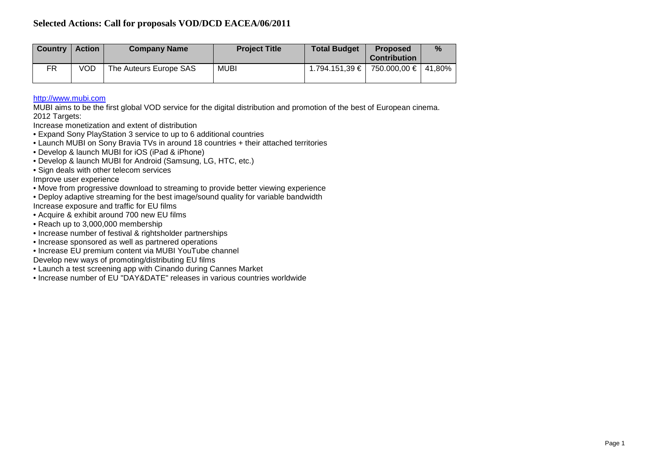| <b>Country</b> | <b>Action</b> | <b>Company Name</b>    | <b>Project Title</b> | <b>Total Budget</b>                        | <b>Proposed</b><br><b>Contribution</b> | $\%$ |
|----------------|---------------|------------------------|----------------------|--------------------------------------------|----------------------------------------|------|
| FR             | VOD           | The Auteurs Europe SAS | <b>MUBI</b>          | $1.794.151.39 \in$   750.000.00 €   41.80% |                                        |      |

# [http://www.mubi.com](http://www.mubi.com/)

MUBI aims to be the first global VOD service for the digital distribution and promotion of the best of European cinema. 2012 Targets:

Increase monetization and extent of distribution

- Expand Sony PlayStation 3 service to up to 6 additional countries
- Launch MUBI on Sony Bravia TVs in around 18 countries + their attached territories
- Develop & launch MUBI for iOS (iPad & iPhone)
- Develop & launch MUBI for Android (Samsung, LG, HTC, etc.)
- Sign deals with other telecom services

Improve user experience

- Move from progressive download to streaming to provide better viewing experience
- Deploy adaptive streaming for the best image/sound quality for variable bandwidth Increase exposure and traffic for EU films
- Acquire & exhibit around 700 new EU films
- Reach up to 3,000,000 membership
- Increase number of festival & rightsholder partnerships
- Increase sponsored as well as partnered operations
- Increase EU premium content via MUBI YouTube channel
- Develop new ways of promoting/distributing EU films
- Launch a test screening app with Cinando during Cannes Market
- Increase number of EU "DAY&DATE" releases in various countries worldwide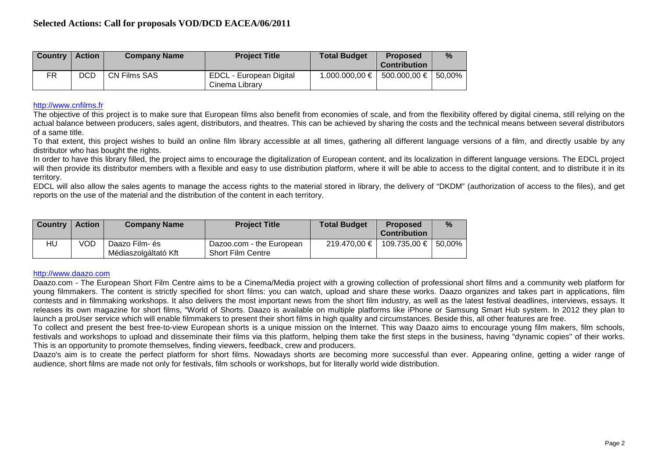| <b>Country</b> | <b>Action</b> | <b>Company Name</b> | <b>Project Title</b>                      | <b>Total Budget</b> | <b>Proposed</b><br><b>Contribution</b> | % |
|----------------|---------------|---------------------|-------------------------------------------|---------------------|----------------------------------------|---|
| FR.            | <b>DCD</b>    | CN Films SAS        | EDCL - European Digital<br>Cinema Library | 1.000.000,00 €      | 500.000,00 € 50,00%                    |   |

# [http://www.cnfilms.fr](http://www.cnfilms.fr/)

The objective of this project is to make sure that European films also benefit from economies of scale, and from the flexibility offered by digital cinema, still relying on the actual balance between producers, sales agent, distributors, and theatres. This can be achieved by sharing the costs and the technical means between several distributors of a same title.

To that extent, this project wishes to build an online film library accessible at all times, gathering all different language versions of a film, and directly usable by any distributor who has bought the rights.

In order to have this library filled, the project aims to encourage the digitalization of European content, and its localization in different language versions. The EDCL project will then provide its distributor members with a flexible and easy to use distribution platform, where it will be able to access to the digital content, and to distribute it in its territory.

EDCL will also allow the sales agents to manage the access rights to the material stored in library, the delivery of "DKDM" (authorization of access to the files), and get reports on the use of the material and the distribution of the content in each territory.

| <b>Country</b> | <b>Action</b> | <b>Company Name</b>                    | <b>Project Title</b>                                 | <b>Total Budget</b> | <b>Proposed</b><br><b>Contribution</b> | $\%$ |
|----------------|---------------|----------------------------------------|------------------------------------------------------|---------------------|----------------------------------------|------|
| HU             | VOD           | Daazo Film- és<br>Médiaszolgáltató Kft | Dazoo.com - the European<br><b>Short Film Centre</b> | 219.470,00 €        | 109.735,00 € 50,00%                    |      |

## [http://www.daazo.com](http://www.daazo.com/)

Daazo.com - The European Short Film Centre aims to be a Cinema/Media project with a growing collection of professional short films and a community web platform for young filmmakers. The content is strictly specified for short films: you can watch, upload and share these works. Daazo organizes and takes part in applications, film contests and in filmmaking workshops. It also delivers the most important news from the short film industry, as well as the latest festival deadlines, interviews, essays. It releases its own magazine for short films, "World of Shorts. Daazo is available on multiple platforms like iPhone or Samsung Smart Hub system. In 2012 they plan to launch a proUser service which will enable filmmakers to present their short films in high quality and circumstances. Beside this, all other features are free.

To collect and present the best free-to-view European shorts is a unique mission on the Internet. This way Daazo aims to encourage young film makers, film schools, festivals and workshops to upload and disseminate their films via this platform, helping them take the first steps in the business, having "dynamic copies" of their works. This is an opportunity to promote themselves, finding viewers, feedback, crew and producers.

Daazo's aim is to create the perfect platform for short films. Nowadays shorts are becoming more successful than ever. Appearing online, getting a wider range of audience, short films are made not only for festivals, film schools or workshops, but for literally world wide distribution.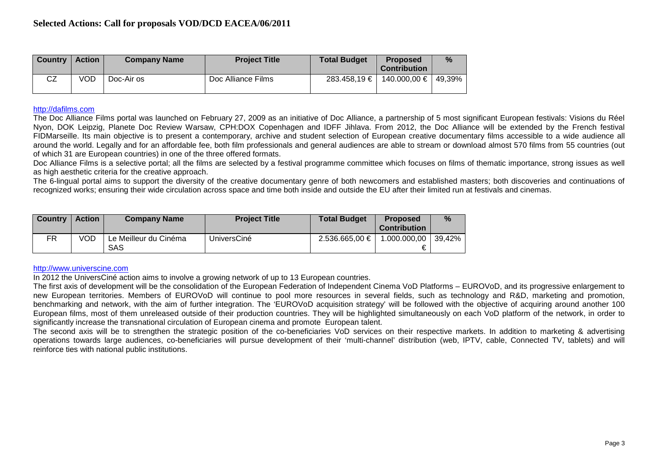| <b>Country</b> | <b>Action</b> | <b>Company Name</b> | <b>Project Title</b> | <b>Total Budget</b> | <b>Proposed</b><br><b>Contribution</b> | $\frac{9}{6}$ |
|----------------|---------------|---------------------|----------------------|---------------------|----------------------------------------|---------------|
| CZ             | VOD.          | Doc-Air os          | Doc Alliance Films   | $283.458.19 \t∈ 1$  | 140.000,00 €   49,39%                  |               |

## [http://dafilms.com](http://dafilms.com/)

The Doc Alliance Films portal was launched on February 27, 2009 as an initiative of Doc Alliance, a partnership of 5 most significant European festivals: Visions du Réel Nyon, DOK Leipzig, Planete Doc Review Warsaw, CPH:DOX Copenhagen and IDFF Jihlava. From 2012, the Doc Alliance will be extended by the French festival FIDMarseille. Its main objective is to present a contemporary, archive and student selection of European creative documentary films accessible to a wide audience all around the world. Legally and for an affordable fee, both film professionals and general audiences are able to stream or download almost 570 films from 55 countries (out of which 31 are European countries) in one of the three offered formats.

Doc Alliance Films is a selective portal; all the films are selected by a festival programme committee which focuses on films of thematic importance, strong issues as well as high aesthetic criteria for the creative approach.

The 6-lingual portal aims to support the diversity of the creative documentary genre of both newcomers and established masters; both discoveries and continuations of recognized works; ensuring their wide circulation across space and time both inside and outside the EU after their limited run at festivals and cinemas.

| <b>Country</b> | <b>Action</b> | <b>Company Name</b>                 | <b>Project Title</b> | <b>Total Budget</b> | <b>Proposed</b><br>Contribution | %                    |
|----------------|---------------|-------------------------------------|----------------------|---------------------|---------------------------------|----------------------|
| FR             | VOD           | Le Meilleur du Cinéma<br><b>SAS</b> | UniversCiné          | 2.536.665,00 €      | 1.000.000,00   <br>€            | $\mid$ 39.42% $\mid$ |

## [http://www.universcine.com](http://www.universcine.com/)

In 2012 the UniversCiné action aims to involve a growing network of up to 13 European countries.

The first axis of development will be the consolidation of the European Federation of Independent Cinema VoD Platforms – EUROVoD, and its progressive enlargement to new European territories. Members of EUROVoD will continue to pool more resources in several fields, such as technology and R&D, marketing and promotion, benchmarking and network, with the aim of further integration. The 'EUROVoD acquisition strategy' will be followed with the objective of acquiring around another 100 European films, most of them unreleased outside of their production countries. They will be highlighted simultaneously on each VoD platform of the network, in order to significantly increase the transnational circulation of European cinema and promote European talent.

The second axis will be to strengthen the strategic position of the co-beneficiaries VoD services on their respective markets. In addition to marketing & advertising operations towards large audiences, co-beneficiaries will pursue development of their 'multi-channel' distribution (web, IPTV, cable, Connected TV, tablets) and will reinforce ties with national public institutions.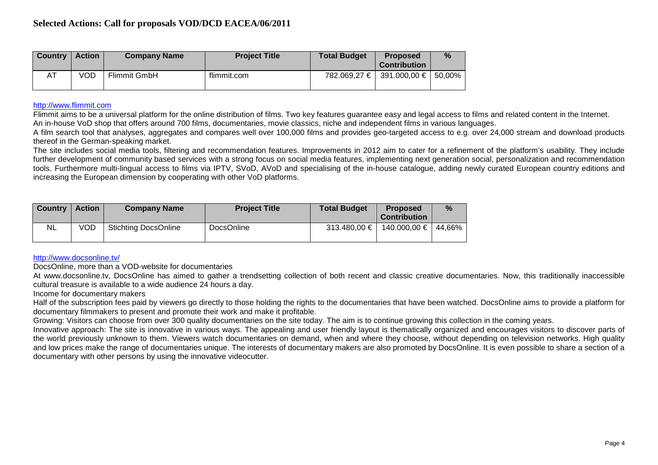| <b>Country</b> | <b>Action</b> | <b>Company Name</b> | <b>Project Title</b> | <b>Total Budget</b> | <b>Proposed</b><br><b>Contribution</b> | % |
|----------------|---------------|---------------------|----------------------|---------------------|----------------------------------------|---|
| AT             | VOD           | <b>Flimmit GmbH</b> | flimmit.com          |                     | 782.069,27 € 391.000,00 € 50,00%       |   |

## [http://www.flimmit.com](http://www.flimmit.com/)

Flimmit aims to be a universal platform for the online distribution of films. Two key features guarantee easy and legal access to films and related content in the Internet. An in-house VoD shop that offers around 700 films, documentaries, movie classics, niche and independent films in various languages.

A film search tool that analyses, aggregates and compares well over 100,000 films and provides geo-targeted access to e.g. over 24,000 stream and download products thereof in the German-speaking market.

The site includes social media tools, filtering and recommendation features. Improvements in 2012 aim to cater for a refinement of the platform's usability. They include further development of community based services with a strong focus on social media features, implementing next generation social, personalization and recommendation tools. Furthermore multi-lingual access to films via IPTV, SVoD, AVoD and specialising of the in-house catalogue, adding newly curated European country editions and increasing the European dimension by cooperating with other VoD platforms.

| <b>Country</b> | <b>Action</b> | <b>Company Name</b>         | <b>Project Title</b> | <b>Total Budget</b> | <b>Proposed</b><br><b>Contribution</b> | $\%$ |
|----------------|---------------|-----------------------------|----------------------|---------------------|----------------------------------------|------|
| NL             | VOD           | <b>Stichting DocsOnline</b> | <b>DocsOnline</b>    | $313.480,00 \in$    | 140.000.00 €   44.66%                  |      |

## <http://www.docsonline.tv/>

DocsOnline, more than a VOD-website for documentaries

At www.docsonline.tv, DocsOnline has aimed to gather a trendsetting collection of both recent and classic creative documentaries. Now, this traditionally inaccessible cultural treasure is available to a wide audience 24 hours a day.

Income for documentary makers

Half of the subscription fees paid by viewers go directly to those holding the rights to the documentaries that have been watched. DocsOnline aims to provide a platform for documentary filmmakers to present and promote their work and make it profitable.

Growing: Visitors can choose from over 300 quality documentaries on the site today. The aim is to continue growing this collection in the coming years.

Innovative approach: The site is innovative in various ways. The appealing and user friendly layout is thematically organized and encourages visitors to discover parts of the world previously unknown to them. Viewers watch documentaries on demand, when and where they choose, without depending on television networks. High quality and low prices make the range of documentaries unique. The interests of documentary makers are also promoted by DocsOnline. It is even possible to share a section of a documentary with other persons by using the innovative videocutter.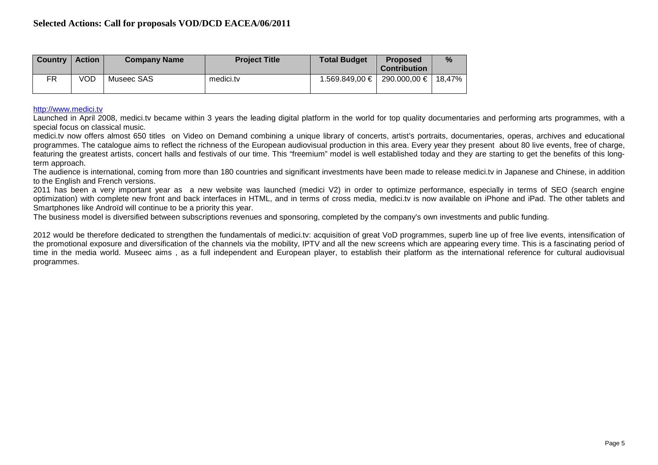| <b>Country</b> | <b>Action</b> | <b>Company Name</b> | <b>Project Title</b> | <b>Total Budget</b> | <b>Proposed</b><br><b>Contribution</b> | $\%$ |
|----------------|---------------|---------------------|----------------------|---------------------|----------------------------------------|------|
| FR.            | VOD           | Museec SAS          | medici.tv            |                     | 1.569.849,00 €   290.000,00 €   18,47% |      |

[http://www.medici.tv](http://www.medici.tv/)

Launched in April 2008, medici.tv became within 3 years the leading digital platform in the world for top quality documentaries and performing arts programmes, with a special focus on classical music.

medici.tv now offers almost 650 titles on Video on Demand combining a unique library of concerts, artist's portraits, documentaries, operas, archives and educational programmes. The catalogue aims to reflect the richness of the European audiovisual production in this area. Every year they present about 80 live events, free of charge, featuring the greatest artists, concert halls and festivals of our time. This "freemium" model is well established today and they are starting to get the benefits of this longterm approach.

The audience is international, coming from more than 180 countries and significant investments have been made to release medici.tv in Japanese and Chinese, in addition to the English and French versions.

2011 has been a very important year as a new website was launched (medici V2) in order to optimize performance, especially in terms of SEO (search engine optimization) with complete new front and back interfaces in HTML, and in terms of cross media, medici.tv is now available on iPhone and iPad. The other tablets and Smartphones like Androïd will continue to be a priority this year.

The business model is diversified between subscriptions revenues and sponsoring, completed by the company's own investments and public funding.

2012 would be therefore dedicated to strengthen the fundamentals of medici.ty: acquisition of great VoD programmes, superb line up of free live events, intensification of the promotional exposure and diversification of the channels via the mobility, IPTV and all the new screens which are appearing every time. This is a fascinating period of time in the media world. Museec aims , as a full independent and European player, to establish their platform as the international reference for cultural audiovisual programmes.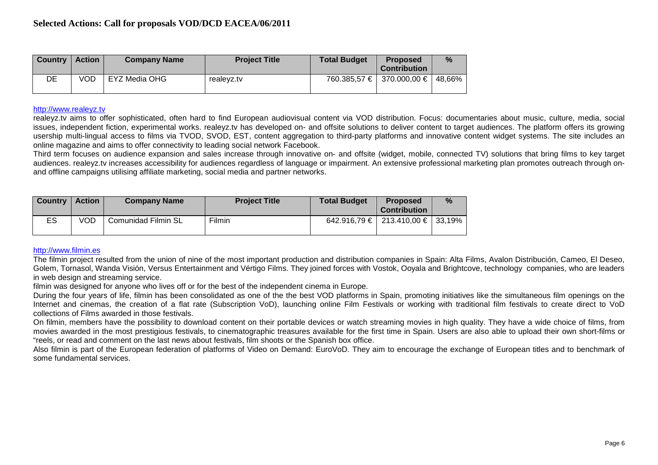| <b>Country</b> | <b>Action</b> | <b>Company Name</b> | <b>Project Title</b> | <b>Total Budget</b> | <b>Proposed</b><br><b>Contribution</b> | $\%$ |
|----------------|---------------|---------------------|----------------------|---------------------|----------------------------------------|------|
| DE             | VOD           | EYZ Media OHG       | realevz.tv           |                     | 760.385,57 €   370.000,00 €   48,66%   |      |

#### [http://www.realeyz.tv](http://www.realeyz.tv/)

realeyz.tv aims to offer sophisticated, often hard to find European audiovisual content via VOD distribution. Focus: documentaries about music, culture, media, social issues, independent fiction, experimental works. realeyz.tv has developed on- and offsite solutions to deliver content to target audiences. The platform offers its growing usership multi-lingual access to films via TVOD, SVOD, EST, content aggregation to third-party platforms and innovative content widget systems. The site includes an online magazine and aims to offer connectivity to leading social network Facebook.

Third term focuses on audience expansion and sales increase through innovative on- and offsite (widget, mobile, connected TV) solutions that bring films to key target audiences. realeyz.tv increases accessibility for audiences regardless of language or impairment. An extensive professional marketing plan promotes outreach through onand offline campaigns utilising affiliate marketing, social media and partner networks.

| <b>Country</b> | <b>Action</b> | <b>Company Name</b> | <b>Project Title</b> | <b>Total Budget</b> | <b>Proposed</b><br><b>Contribution</b>   | $\%$ |
|----------------|---------------|---------------------|----------------------|---------------------|------------------------------------------|------|
| ES             | VOD           | Comunidad Filmin SL | Filmin               |                     | $642.916,79 \in$   213.410,00 €   33,19% |      |

## [http://www.filmin.es](http://www.filmin.es/)

The filmin project resulted from the union of nine of the most important production and distribution companies in Spain: Alta Films, Avalon Distribución, Cameo, El Deseo, Golem, Tornasol, Wanda Visión, Versus Entertainment and Vértigo Films. They joined forces with Vostok, Ooyala and Brightcove, technology companies, who are leaders in web design and streaming service.

filmin was designed for anyone who lives off or for the best of the independent cinema in Europe.

During the four years of life, filmin has been consolidated as one of the the best VOD platforms in Spain, promoting initiatives like the simultaneous film openings on the Internet and cinemas, the creation of a flat rate (Subscription VoD), launching online Film Festivals or working with traditional film festivals to create direct to VoD collections of Films awarded in those festivals.

On filmin, members have the possibility to download content on their portable devices or watch streaming movies in high quality. They have a wide choice of films, from movies awarded in the most prestigious festivals, to cinematographic treasures available for the first time in Spain. Users are also able to upload their own short-films or "reels, or read and comment on the last news about festivals, film shoots or the Spanish box office.

Also filmin is part of the European federation of platforms of Video on Demand: EuroVoD. They aim to encourage the exchange of European titles and to benchmark of some fundamental services.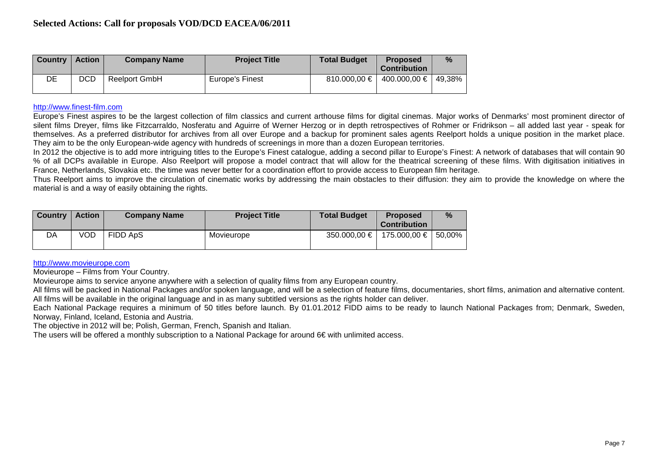| <b>Country</b> | <b>Action</b> | <b>Company Name</b> | <b>Project Title</b> | <b>Total Budget</b> | <b>Proposed</b><br><b>Contribution</b> | $\frac{9}{6}$ |
|----------------|---------------|---------------------|----------------------|---------------------|----------------------------------------|---------------|
| DE             | <b>DCD</b>    | Reelport GmbH       | Europe's Finest      | 810.000,00 $\in$    | 400.000,00 €   49.38%                  |               |

## [http://www.finest-film.com](http://www.finest-film.com/)

Europe's Finest aspires to be the largest collection of film classics and current arthouse films for digital cinemas. Major works of Denmarks' most prominent director of silent films Dreyer, films like Fitzcarraldo, Nosferatu and Aguirre of Werner Herzog or in depth retrospectives of Rohmer or Fridrikson – all added last year - speak for themselves. As a preferred distributor for archives from all over Europe and a backup for prominent sales agents Reelport holds a unique position in the market place. They aim to be the only European-wide agency with hundreds of screenings in more than a dozen European territories.

In 2012 the objective is to add more intriguing titles to the Europe's Finest catalogue, adding a second pillar to Europe's Finest: A network of databases that will contain 90 % of all DCPs available in Europe. Also Reelport will propose a model contract that will allow for the theatrical screening of these films. With digitisation initiatives in France, Netherlands, Slovakia etc. the time was never better for a coordination effort to provide access to European film heritage.

Thus Reelport aims to improve the circulation of cinematic works by addressing the main obstacles to their diffusion: they aim to provide the knowledge on where the material is and a way of easily obtaining the rights.

| <b>Country</b> | <b>Action</b> | <b>Company Name</b> | <b>Project Title</b> | <b>Total Budget</b> | <b>Proposed</b><br><b>Contribution</b> | $\%$ |
|----------------|---------------|---------------------|----------------------|---------------------|----------------------------------------|------|
| DA             | VOD           | FIDD ApS            | Movieurope           | $350.000.00 \in I$  | 175.000,00 € 50,00%                    |      |

# [http://www.movieurope.com](http://www.movieurope.com/)

Movieurope – Films from Your Country.

Movieurope aims to service anyone anywhere with a selection of quality films from any European country.

All films will be packed in National Packages and/or spoken language, and will be a selection of feature films, documentaries, short films, animation and alternative content. All films will be available in the original language and in as many subtitled versions as the rights holder can deliver.

Each National Package requires a minimum of 50 titles before launch. By 01.01.2012 FIDD aims to be ready to launch National Packages from; Denmark, Sweden, Norway, Finland, Iceland, Estonia and Austria.

The objective in 2012 will be; Polish, German, French, Spanish and Italian.

The users will be offered a monthly subscription to a National Package for around 6€ with unlimited access.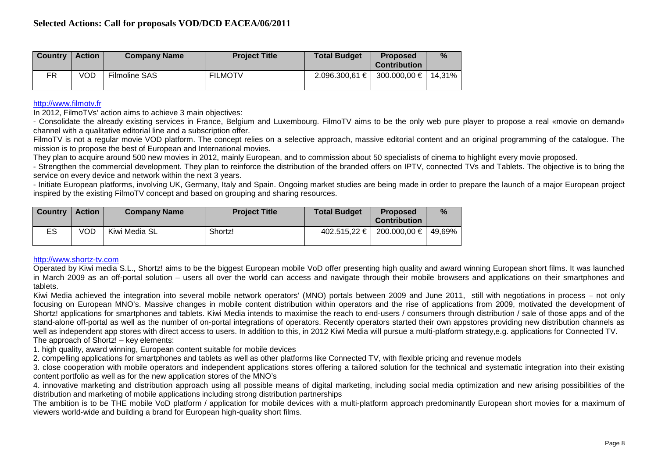| <b>Country</b> | <b>Action</b> | <b>Company Name</b>  | <b>Project Title</b> | <b>Total Budget</b>                        | <b>Proposed</b><br><b>Contribution</b> | $\%$ |
|----------------|---------------|----------------------|----------------------|--------------------------------------------|----------------------------------------|------|
| FR             | VOD           | <b>Filmoline SAS</b> | <b>FILMOTV</b>       | $2.096.300,61 \in$   300.000,00 €   14,31% |                                        |      |

## [http://www.filmotv.fr](http://www.filmotv.fr/)

In 2012, FilmoTVs' action aims to achieve 3 main objectives:

- Consolidate the already existing services in France, Belgium and Luxembourg. FilmoTV aims to be the only web pure player to propose a real «movie on demand» channel with a qualitative editorial line and a subscription offer.

FilmoTV is not a regular movie VOD platform. The concept relies on a selective approach, massive editorial content and an original programming of the catalogue. The mission is to propose the best of European and International movies.

They plan to acquire around 500 new movies in 2012, mainly European, and to commission about 50 specialists of cinema to highlight every movie proposed.

- Strengthen the commercial development. They plan to reinforce the distribution of the branded offers on IPTV, connected TVs and Tablets. The objective is to bring the service on every device and network within the next 3 years.

- Initiate European platforms, involving UK, Germany, Italy and Spain. Ongoing market studies are being made in order to prepare the launch of a major European project inspired by the existing FilmoTV concept and based on grouping and sharing resources.

| <b>Country</b> | <b>Action</b> | <b>Company Name</b> | <b>Project Title</b> | <b>Total Budget</b> | <b>Proposed</b><br><b>Contribution</b> | $\%$ |
|----------------|---------------|---------------------|----------------------|---------------------|----------------------------------------|------|
| ES             | VOD           | Kiwi Media SL       | Shortz!              | 402.515.22 €        | 200.000,00 €   49,69%                  |      |

## [http://www.shortz-tv.com](http://www.shortz-tv.com/)

Operated by Kiwi media S.L., Shortz! aims to be the biggest European mobile VoD offer presenting high quality and award winning European short films. It was launched in March 2009 as an off-portal solution – users all over the world can access and navigate through their mobile browsers and applications on their smartphones and tablets.

Kiwi Media achieved the integration into several mobile network operators' (MNO) portals between 2009 and June 2011, still with negotiations in process – not only focusing on European MNO's. Massive changes in mobile content distribution within operators and the rise of applications from 2009, motivated the development of Shortz! applications for smartphones and tablets. Kiwi Media intends to maximise the reach to end-users / consumers through distribution / sale of those apps and of the stand-alone off-portal as well as the number of on-portal integrations of operators. Recently operators started their own appstores providing new distribution channels as well as independent app stores with direct access to users. In addition to this, in 2012 Kiwi Media will pursue a multi-platform strategy,e.g. applications for Connected TV. The approach of Shortz! – key elements:

1. high quality, award winning, European content suitable for mobile devices

2. compelling applications for smartphones and tablets as well as other platforms like Connected TV, with flexible pricing and revenue models

3. close cooperation with mobile operators and independent applications stores offering a tailored solution for the technical and systematic integration into their existing content portfolio as well as for the new application stores of the MNO's

4. innovative marketing and distribution approach using all possible means of digital marketing, including social media optimization and new arising possibilities of the distribution and marketing of mobile applications including strong distribution partnerships

The ambition is to be THE mobile VoD platform / application for mobile devices with a multi-platform approach predominantly European short movies for a maximum of viewers world-wide and building a brand for European high-quality short films.